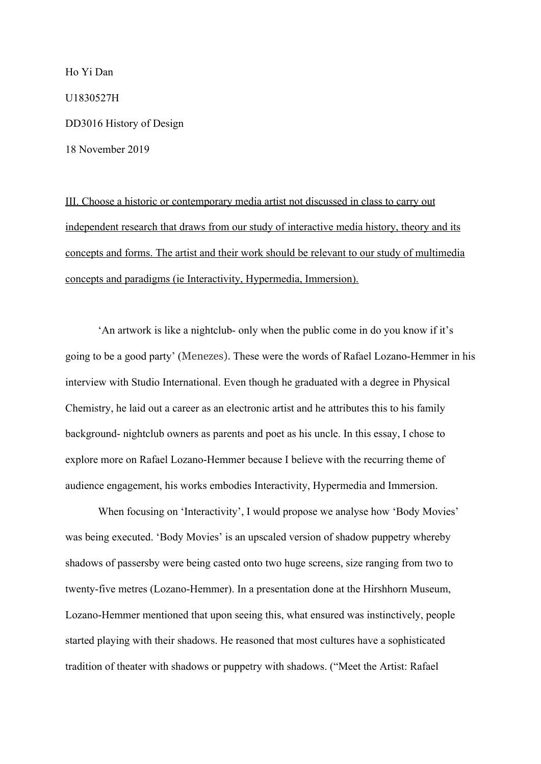Ho Yi Dan U1830527H DD3016 History of Design 18 November 2019

III. Choose a historic or contemporary media artist not discussed in class to carry out independent research that draws from our study of interactive media history, theory and its concepts and forms. The artist and their work should be relevant to our study of multimedia concepts and paradigms (ie Interactivity, Hypermedia, Immersion).

'An artwork is like a nightclub- only when the public come in do you know if it's going to be a good party' (Menezes). These were the words of Rafael Lozano-Hemmer in his interview with Studio International. Even though he graduated with a degree in Physical Chemistry, he laid out a career as an electronic artist and he attributes this to his family background- nightclub owners as parents and poet as his uncle. In this essay, I chose to explore more on Rafael Lozano-Hemmer because I believe with the recurring theme of audience engagement, his works embodies Interactivity, Hypermedia and Immersion.

When focusing on 'Interactivity', I would propose we analyse how 'Body Movies' was being executed. 'Body Movies' is an upscaled version of shadow puppetry whereby shadows of passersby were being casted onto two huge screens, size ranging from two to twenty-five metres (Lozano-Hemmer). In a presentation done at the Hirshhorn Museum, Lozano-Hemmer mentioned that upon seeing this, what ensured was instinctively, people started playing with their shadows. He reasoned that most cultures have a sophisticated tradition of theater with shadows or puppetry with shadows. ("Meet the Artist: Rafael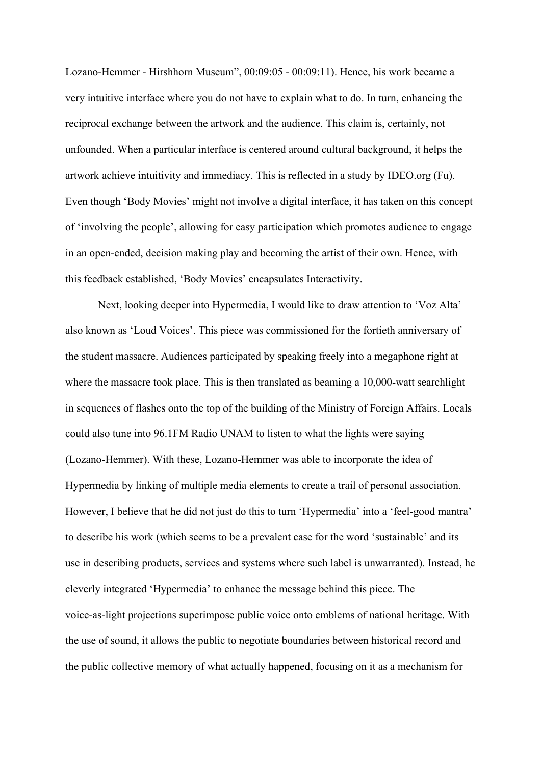Lozano-Hemmer - Hirshhorn Museum", 00:09:05 - 00:09:11). Hence, his work became a very intuitive interface where you do not have to explain what to do. In turn, enhancing the reciprocal exchange between the artwork and the audience. This claim is, certainly, not unfounded. When a particular interface is centered around cultural background, it helps the artwork achieve intuitivity and immediacy. This is reflected in a study by IDEO.org (Fu). Even though 'Body Movies' might not involve a digital interface, it has taken on this concept of 'involving the people', allowing for easy participation which promotes audience to engage in an open-ended, decision making play and becoming the artist of their own. Hence, with this feedback established, 'Body Movies' encapsulates Interactivity.

Next, looking deeper into Hypermedia, I would like to draw attention to 'Voz Alta' also known as 'Loud Voices'. This piece was commissioned for the fortieth anniversary of the student massacre. Audiences participated by speaking freely into a megaphone right at where the massacre took place. This is then translated as beaming a 10,000-watt searchlight in sequences of flashes onto the top of the building of the Ministry of Foreign Affairs. Locals could also tune into 96.1FM Radio UNAM to listen to what the lights were saying (Lozano-Hemmer). With these, Lozano-Hemmer was able to incorporate the idea of Hypermedia by linking of multiple media elements to create a trail of personal association. However, I believe that he did not just do this to turn 'Hypermedia' into a 'feel-good mantra' to describe his work (which seems to be a prevalent case for the word 'sustainable' and its use in describing products, services and systems where such label is unwarranted). Instead, he cleverly integrated 'Hypermedia' to enhance the message behind this piece. The voice-as-light projections superimpose public voice onto emblems of national heritage. With the use of sound, it allows the public to negotiate boundaries between historical record and the public collective memory of what actually happened, focusing on it as a mechanism for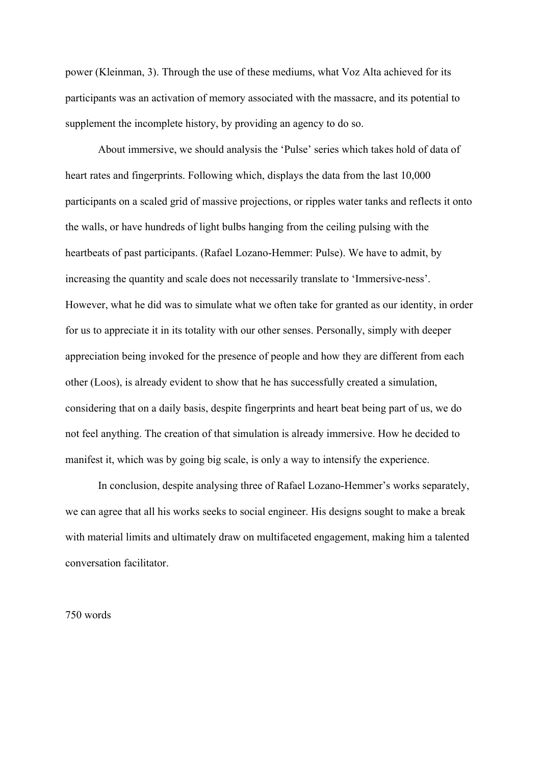power (Kleinman, 3). Through the use of these mediums, what Voz Alta achieved for its participants was an activation of memory associated with the massacre, and its potential to supplement the incomplete history, by providing an agency to do so.

About immersive, we should analysis the 'Pulse' series which takes hold of data of heart rates and fingerprints. Following which, displays the data from the last 10,000 participants on a scaled grid of massive projections, or ripples water tanks and reflects it onto the walls, or have hundreds of light bulbs hanging from the ceiling pulsing with the heartbeats of past participants. (Rafael Lozano-Hemmer: Pulse). We have to admit, by increasing the quantity and scale does not necessarily translate to 'Immersive-ness'. However, what he did was to simulate what we often take for granted as our identity, in order for us to appreciate it in its totality with our other senses. Personally, simply with deeper appreciation being invoked for the presence of people and how they are different from each other (Loos), is already evident to show that he has successfully created a simulation, considering that on a daily basis, despite fingerprints and heart beat being part of us, we do not feel anything. The creation of that simulation is already immersive. How he decided to manifest it, which was by going big scale, is only a way to intensify the experience.

In conclusion, despite analysing three of Rafael Lozano-Hemmer's works separately, we can agree that all his works seeks to social engineer. His designs sought to make a break with material limits and ultimately draw on multifaceted engagement, making him a talented conversation facilitator.

750 words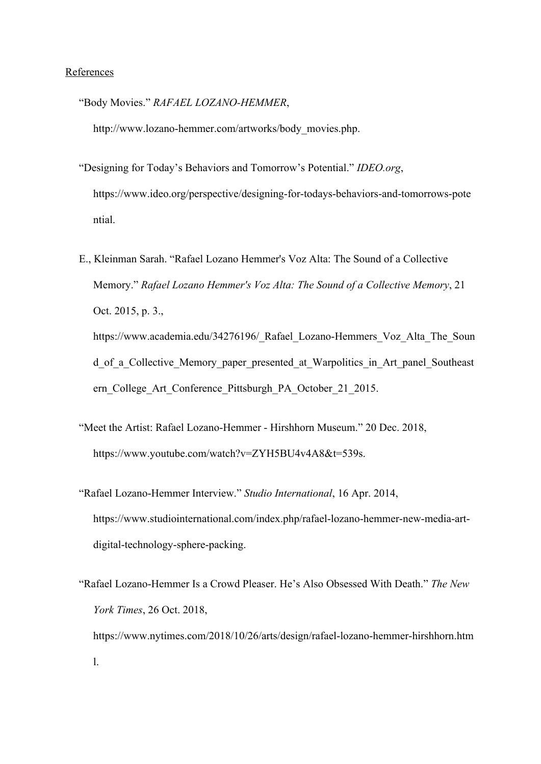## **References**

"Body Movies." *RAFAEL LOZANO-HEMMER*,

http://www.lozano-hemmer.com/artworks/body\_movies.php.

- "Designing for Today's Behaviors and Tomorrow's Potential." *IDEO.org*, https://www.ideo.org/perspective/designing-for-todays-behaviors-and-tomorrows-pote ntial.
- E., Kleinman Sarah. "Rafael Lozano Hemmer's Voz Alta: The Sound of a Collective Memory." *Rafael Lozano Hemmer's Voz Alta: The Sound of a Collective Memory*, 21 Oct. 2015, p. 3., https://www.academia.edu/34276196/ Rafael Lozano-Hemmers Voz Alta The Soun d of a Collective Memory paper presented at Warpolitics in Art panel Southeast

ern College Art Conference Pittsburgh PA October 21 2015.

- "Meet the Artist: Rafael Lozano-Hemmer Hirshhorn Museum." 20 Dec. 2018, https://www.youtube.com/watch?v=ZYH5BU4v4A8&t=539s.
- "Rafael Lozano-Hemmer Interview." *Studio International*, 16 Apr. 2014, https://www.studiointernational.com/index.php/rafael-lozano-hemmer-new-media-artdigital-technology-sphere-packing.
- "Rafael Lozano-Hemmer Is a Crowd Pleaser. He's Also Obsessed With Death." *The New York Times*, 26 Oct. 2018, https://www.nytimes.com/2018/10/26/arts/design/rafael-lozano-hemmer-hirshhorn.htm l.